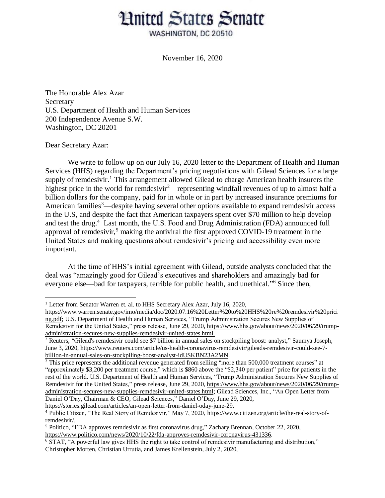## **Hnited States Senate**

WASHINGTON, DC 20510

November 16, 2020

The Honorable Alex Azar Secretary U.S. Department of Health and Human Services 200 Independence Avenue S.W. Washington, DC 20201

Dear Secretary Azar:

 $\overline{a}$ 

We write to follow up on our July 16, 2020 letter to the Department of Health and Human Services (HHS) regarding the Department's pricing negotiations with Gilead Sciences for a large supply of remdesivir.<sup>1</sup> This arrangement allowed Gilead to charge American health insurers the highest price in the world for remdesivir<sup>2</sup>—representing windfall revenues of up to almost half a billion dollars for the company, paid for in whole or in part by increased insurance premiums for American families<sup>3</sup>—despite having several other options available to expand remdesivir access in the U.S, and despite the fact that American taxpayers spent over \$70 million to help develop and test the drug.<sup>4</sup> Last month, the U.S. Food and Drug Administration (FDA) announced full approval of remdesivir,<sup>5</sup> making the antiviral the first approved COVID-19 treatment in the United States and making questions about remdesivir's pricing and accessibility even more important.

At the time of HHS's initial agreement with Gilead, outside analysts concluded that the deal was "amazingly good for Gilead's executives and shareholders and amazingly bad for everyone else—bad for taxpayers, terrible for public health, and unethical."<sup>6</sup> Since then,

[https://stories.gilead.com/articles/an-open-letter-from-daniel-oday-june-29.](https://stories.gilead.com/articles/an-open-letter-from-daniel-oday-june-29)

<sup>&</sup>lt;sup>1</sup> Letter from Senator Warren et. al. to HHS Secretary Alex Azar, July 16, 2020,

[https://www.warren.senate.gov/imo/media/doc/2020.07.16%20Letter%20to%20HHS%20re%20remdesivir%20prici](https://www.warren.senate.gov/imo/media/doc/2020.07.16%20Letter%20to%20HHS%20re%20remdesivir%20pricing.pdf) [ng.pdf;](https://www.warren.senate.gov/imo/media/doc/2020.07.16%20Letter%20to%20HHS%20re%20remdesivir%20pricing.pdf) U.S. Department of Health and Human Services, "Trump Administration Secures New Supplies of Remdesivir for the United States," press release, June 29, 2020, [https://www.hhs.gov/about/news/2020/06/29/trump](https://www.hhs.gov/about/news/2020/06/29/trump-administration-secures-new-supplies-remdesivir-united-states.html)[administration-secures-new-supplies-remdesivir-united-states.html.](https://www.hhs.gov/about/news/2020/06/29/trump-administration-secures-new-supplies-remdesivir-united-states.html)

<sup>2</sup> Reuters, "Gilead's remdesivir could see \$7 billion in annual sales on stockpiling boost: analyst," Saumya Joseph, June 3, 2020, [https://www.reuters.com/article/us-health-coronavirus-remdesivir/gileads-remdesivir-could-see-7](https://www.reuters.com/article/us-health-coronavirus-remdesivir/gileads-remdesivir-could-see-7-billion-in-annual-sales-on-stockpiling-boost-analyst-idUSKBN23A2MN) [billion-in-annual-sales-on-stockpiling-boost-analyst-idUSKBN23A2MN.](https://www.reuters.com/article/us-health-coronavirus-remdesivir/gileads-remdesivir-could-see-7-billion-in-annual-sales-on-stockpiling-boost-analyst-idUSKBN23A2MN)

<sup>&</sup>lt;sup>3</sup> This price represents the additional revenue generated from selling "more than 500,000 treatment courses" at "approximately \$3,200 per treatment course," which is \$860 above the "\$2,340 per patient" price for patients in the rest of the world. U.S. Department of Health and Human Services, "Trump Administration Secures New Supplies of Remdesivir for the United States," press release, June 29, 2020, [https://www.hhs.gov/about/news/2020/06/29/trump](https://www.hhs.gov/about/news/2020/06/29/trump-administration-secures-new-supplies-remdesivir-united-states.html)[administration-secures-new-supplies-remdesivir-united-states.html;](https://www.hhs.gov/about/news/2020/06/29/trump-administration-secures-new-supplies-remdesivir-united-states.html) Gilead Sciences, Inc., "An Open Letter from Daniel O'Day, Chairman & CEO, Gilead Sciences," Daniel O'Day, June 29, 2020,

<sup>&</sup>lt;sup>4</sup> Public Citizen, "The Real Story of Remdesivir," May 7, 2020, [https://www.citizen.org/article/the-real-story-of](https://www.citizen.org/article/the-real-story-of-remdesivir/)[remdesivir/.](https://www.citizen.org/article/the-real-story-of-remdesivir/)

<sup>5</sup> Politico, "FDA approves remdesivir as first coronavirus drug," Zachary Brennan, October 22, 2020, [https://www.politico.com/news/2020/10/22/fda-approves-remdesivir-coronavirus-431336.](https://www.politico.com/news/2020/10/22/fda-approves-remdesivir-coronavirus-431336)

<sup>&</sup>lt;sup>6</sup> STAT, "A powerful law gives HHS the right to take control of remdesivir manufacturing and distribution," Christopher Morten, Christian Urrutia, and James Krellenstein, July 2, 2020,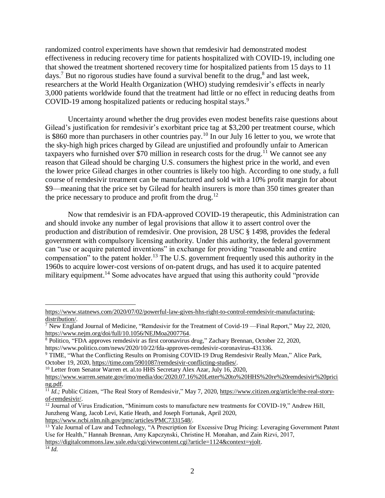randomized control experiments have shown that remdesivir had demonstrated modest effectiveness in reducing recovery time for patients hospitalized with COVID-19, including one that showed the treatment shortened recovery time for hospitalized patients from 15 days to 11 days.<sup>7</sup> But no rigorous studies have found a survival benefit to the drug,<sup>8</sup> and last week, researchers at the World Health Organization (WHO) studying remdesivir's effects in nearly 3,000 patients worldwide found that the treatment had little or no effect in reducing deaths from COVID-19 among hospitalized patients or reducing hospital stays. 9

Uncertainty around whether the drug provides even modest benefits raise questions about Gilead's justification for remdesivir's exorbitant price tag at \$3,200 per treatment course, which is \$860 more than purchasers in other countries pay.<sup>10</sup> In our July 16 letter to you, we wrote that the sky-high high prices charged by Gilead are unjustified and profoundly unfair to American taxpayers who furnished over \$70 million in research costs for the drug.<sup>11</sup> We cannot see any reason that Gilead should be charging U.S. consumers the highest price in the world, and even the lower price Gilead charges in other countries is likely too high. According to one study, a full course of remdesivir treatment can be manufactured and sold with a 10% profit margin for about \$9—meaning that the price set by Gilead for health insurers is more than 350 times greater than the price necessary to produce and profit from the drug.<sup>12</sup>

Now that remdesivir is an FDA-approved COVID-19 therapeutic, this Administration can and should invoke any number of legal provisions that allow it to assert control over the production and distribution of remdesivir. One provision, 28 USC § 1498, provides the federal government with compulsory licensing authority. Under this authority, the federal government can "use or acquire patented inventions" in exchange for providing "reasonable and entire compensation" to the patent holder.<sup>13</sup> The U.S. government frequently used this authority in the 1960s to acquire lower-cost versions of on-patent drugs, and has used it to acquire patented military equipment.<sup>14</sup> Some advocates have argued that using this authority could "provide"

 $\overline{a}$ 

[https://www.statnews.com/2020/07/02/powerful-law-gives-hhs-right-to-control-remdesivir-manufacturing](https://www.statnews.com/2020/07/02/powerful-law-gives-hhs-right-to-control-remdesivir-manufacturing-distribution/)[distribution/.](https://www.statnews.com/2020/07/02/powerful-law-gives-hhs-right-to-control-remdesivir-manufacturing-distribution/)

<sup>&</sup>lt;sup>7</sup> New England Journal of Medicine, "Remdesivir for the Treatment of Covid-19 — Final Report," May 22, 2020, [https://www.nejm.org/doi/full/10.1056/NEJMoa2007764.](https://www.nejm.org/doi/full/10.1056/NEJMoa2007764)

<sup>&</sup>lt;sup>8</sup> Politico, "FDA approves remdesivir as first coronavirus drug," Zachary Brennan, October 22, 2020, https://www.politico.com/news/2020/10/22/fda-approves-remdesivir-coronavirus-431336.

<sup>9</sup> TIME, "What the Conflicting Results on Promising COVID-19 Drug Remdesivir Really Mean," Alice Park, October 19, 2020, [https://time.com/5901087/remdesivir-conflicting-studies/.](https://time.com/5901087/remdesivir-conflicting-studies/)

<sup>&</sup>lt;sup>10</sup> Letter from Senator Warren et. al.to HHS Secretary Alex Azar, July 16, 2020,

[https://www.warren.senate.gov/imo/media/doc/2020.07.16%20Letter%20to%20HHS%20re%20remdesivir%20prici](https://www.warren.senate.gov/imo/media/doc/2020.07.16%20Letter%20to%20HHS%20re%20remdesivir%20pricing.pdf) [ng.pdf.](https://www.warren.senate.gov/imo/media/doc/2020.07.16%20Letter%20to%20HHS%20re%20remdesivir%20pricing.pdf)

<sup>&</sup>lt;sup>11</sup> *Id.*; Public Citizen, "The Real Story of Remdesivir," May 7, 2020, [https://www.citizen.org/article/the-real-story](https://www.citizen.org/article/the-real-story-of-remdesivir/)[of-remdesivir/.](https://www.citizen.org/article/the-real-story-of-remdesivir/)

<sup>&</sup>lt;sup>12</sup> Journal of Virus Eradication, "Minimum costs to manufacture new treatments for COVID-19," Andrew Hill, Junzheng Wang, Jacob Levi, Katie Heath, and Joseph Fortunak, April 2020, [https://www.ncbi.nlm.nih.gov/pmc/articles/PMC7331548/.](https://www.ncbi.nlm.nih.gov/pmc/articles/PMC7331548/)

<sup>&</sup>lt;sup>13</sup> Yale Journal of Law and Technology, "A Prescription for Excessive Drug Pricing: Leveraging Government Patent Use for Health," Hannah Brennan, Amy Kapczynski, Christine H. Monahan, and Zain Rizvi, 2017, [https://digitalcommons.law.yale.edu/cgi/viewcontent.cgi?article=1124&context=yjolt.](https://digitalcommons.law.yale.edu/cgi/viewcontent.cgi?article=1124&context=yjolt)

 $^{14}$   $\bar{I}$ *d*.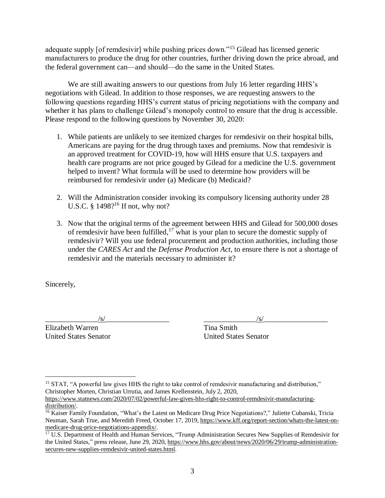adequate supply [of remdesivir] while pushing prices down."<sup>15</sup> Gilead has licensed generic manufacturers to produce the drug for other countries, further driving down the price abroad, and the federal government can—and should—do the same in the United States.

We are still awaiting answers to our questions from July 16 letter regarding HHS's negotiations with Gilead. In addition to those responses, we are requesting answers to the following questions regarding HHS's current status of pricing negotiations with the company and whether it has plans to challenge Gilead's monopoly control to ensure that the drug is accessible. Please respond to the following questions by November 30, 2020:

- 1. While patients are unlikely to see itemized charges for remdesivir on their hospital bills, Americans are paying for the drug through taxes and premiums. Now that remdesivir is an approved treatment for COVID-19, how will HHS ensure that U.S. taxpayers and health care programs are not price gouged by Gilead for a medicine the U.S. government helped to invent? What formula will be used to determine how providers will be reimbursed for remdesivir under (a) Medicare (b) Medicaid?
- 2. Will the Administration consider invoking its compulsory licensing authority under 28 U.S.C. §  $1498$ ?<sup>16</sup> If not, why not?
- 3. Now that the original terms of the agreement between HHS and Gilead for 500,000 doses of remdesivir have been fulfilled,  $17$  what is your plan to secure the domestic supply of remdesivir? Will you use federal procurement and production authorities, including those under the *CARES Act* and the *Defense Production Act*, to ensure there is not a shortage of remdesivir and the materials necessary to administer it?

Sincerely,

 $\overline{a}$ 

 $\frac{1}{s}$ 

Elizabeth Warren Tina Smith

United States Senator United States Senator

<sup>&</sup>lt;sup>15</sup> STAT, "A powerful law gives HHS the right to take control of remdesivir manufacturing and distribution," Christopher Morten, Christian Urrutia, and James Krellenstein, July 2, 2020,

[https://www.statnews.com/2020/07/02/powerful-law-gives-hhs-right-to-control-remdesivir-manufacturing](https://www.statnews.com/2020/07/02/powerful-law-gives-hhs-right-to-control-remdesivir-manufacturing-distribution/)[distribution/.](https://www.statnews.com/2020/07/02/powerful-law-gives-hhs-right-to-control-remdesivir-manufacturing-distribution/)

<sup>&</sup>lt;sup>16</sup> Kaiser Family Foundation, "What's the Latest on Medicare Drug Price Negotiations?," Juliette Cubanski, Tricia Neuman, Sarah True, and Meredith Freed, October 17, 2019, [https://www.kff.org/report-section/whats-the-latest-on](https://www.kff.org/report-section/whats-the-latest-on-medicare-drug-price-negotiations-appendix/)[medicare-drug-price-negotiations-appendix/.](https://www.kff.org/report-section/whats-the-latest-on-medicare-drug-price-negotiations-appendix/)

<sup>&</sup>lt;sup>17</sup> U.S. Department of Health and Human Services, "Trump Administration Secures New Supplies of Remdesivir for the United States," press release, June 29, 2020, [https://www.hhs.gov/about/news/2020/06/29/trump-administration](https://www.hhs.gov/about/news/2020/06/29/trump-administration-secures-new-supplies-remdesivir-united-states.html)[secures-new-supplies-remdesivir-united-states.html.](https://www.hhs.gov/about/news/2020/06/29/trump-administration-secures-new-supplies-remdesivir-united-states.html)